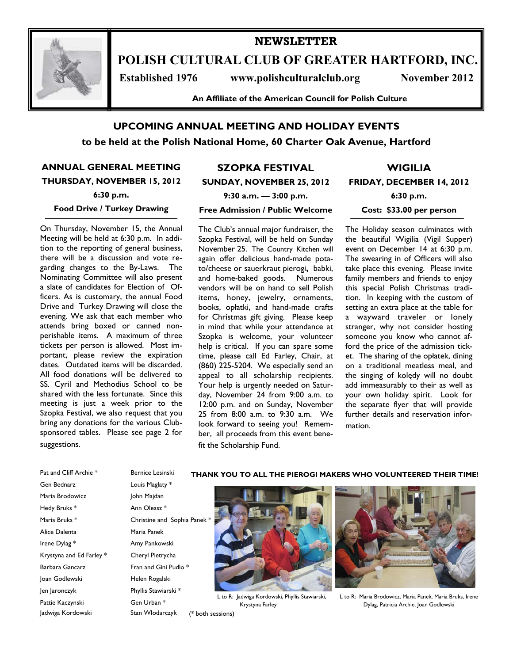

# **POLISH CULTURAL CLUB OF GREATER HARTFORD, INC.**

**NEWSLETTER** 

Established 1976 www.polishculturalclub.org November 2012

**An Affiliate of the American Council for Polish Culture** 

# **UPCOMING ANNUAL MEETING AND HOLIDAY EVENTS**

**to be held at the Polish National Home, 60 Charter Oak Avenue, Hartford** 

**ANNUAL GENERAL MEETING THURSDAY, NOVEMBER 15, 2012** 

**6:30 p.m.** 

#### **Food Drive / Turkey Drawing**

On Thursday, November 15, the Annual Meeting will be held at 6:30 p.m. In addition to the reporting of general business, there will be a discussion and vote regarding changes to the By-Laws. The Nominating Committee will also present a slate of candidates for Election of Officers. As is customary, the annual Food Drive and Turkey Drawing will close the evening. We ask that each member who attends bring boxed or canned nonperishable items. A maximum of three tickets per person is allowed. Most important, please review the expiration dates. Outdated items will be discarded. All food donations will be delivered to SS. Cyril and Methodius School to be shared with the less fortunate. Since this meeting is just a week prior to the Szopka Festival, we also request that you bring any donations for the various Clubsponsored tables. Please see page 2 for suggestions.

# **SZOPKA FESTIVAL**

**SUNDAY, NOVEMBER 25, 2012** 

**Free Admission / Public Welcome** 

**WIGILIA FRIDAY, DECEMBER 14, 2012** 

**9:30 a.m. — 3:00 p.m.** 

**6:30 p.m.** 

**Cost: \$33.00 per person** 

The Club's annual major fundraiser, the Szopka Festival, will be held on Sunday November 25. The Country Kitchen will again offer delicious hand-made potato/cheese or sauerkraut pierogi**,** babki, and home-baked goods. Numerous vendors will be on hand to sell Polish items, honey, jewelry, ornaments, books, opłatki, and hand-made crafts for Christmas gift giving. Please keep in mind that while your attendance at Szopka is welcome, your volunteer help is critical. If you can spare some time, please call Ed Farley, Chair, at (860) 225-5204. We especially send an appeal to all scholarship recipients. Your help is urgently needed on Saturday, November 24 from 9:00 a.m. to 12:00 p.m. and on Sunday, November 25 from 8:00 a.m. to 9:30 a.m. We look forward to seeing you! Remember, all proceeds from this event benefit the Scholarship Fund.

L to R: Jadwiga Kordowski, Phyllis Stawiarski,

The Holiday season culminates with the beautiful Wigilia (Vigil Supper) event on December 14 at 6:30 p.m. The swearing in of Officers will also take place this evening. Please invite family members and friends to enjoy this special Polish Christmas tradition. In keeping with the custom of setting an extra place at the table for a wayward traveler or lonely stranger, why not consider hosting someone you know who cannot afford the price of the admission ticket. The sharing of the opłatek, dining on a traditional meatless meal, and the singing of kolędy will no doubt add immeasurably to their as well as your own holiday spirit. Look for the separate flyer that will provide further details and reservation information.

Pat and Cliff Archie \* Bernice Lesinski Gen Bednarz Louis Maglaty \* Maria Brodowicz John Majdan Hedy Bruks \* Ann Oleasz \* Alice Dalenta Maria Panek Irene Dylag \* Amy Pankowski Krystyna and Ed Farley \* Cheryl Pietrycha Barbara Gancarz Fran and Gini Pudlo \* Joan Godlewski Helen Rogalski Jen Jaronczyk Phyllis Stawiarski \* Pattie Kaczynski Gen Urban \* Jadwiga Kordowski Stan Wlodarczyk

Maria Bruks \* Christine and Sophia Panek \*

Krystyna Farley (\* both sessions)

### **THANK YOU TO ALL THE PIEROGI MAKERS WHO VOLUNTEERED THEIR TIME!**



L to R: Maria Brodowicz, Maria Panek, Maria Bruks, Irene Dylag, Patricia Archie, Joan Godlewski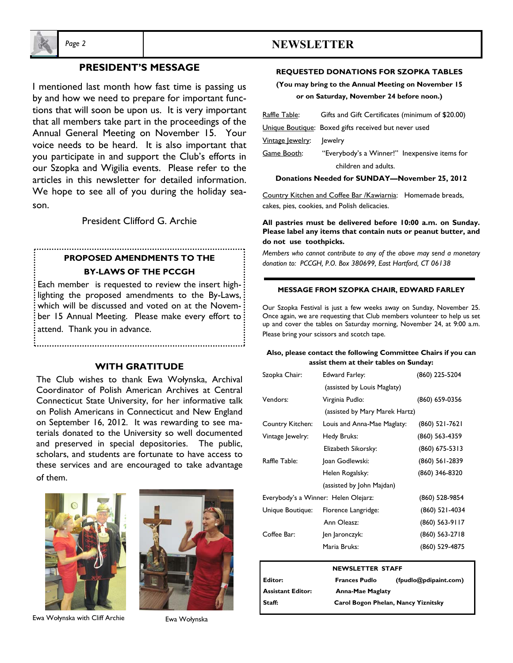

# **PRESIDENT'S MESSAGE**

I mentioned last month how fast time is passing us by and how we need to prepare for important functions that will soon be upon us. It is very important that all members take part in the proceedings of the Annual General Meeting on November 15. Your voice needs to be heard. It is also important that you participate in and support the Club's efforts in our Szopka and Wigilia events. Please refer to the articles in this newsletter for detailed information. We hope to see all of you during the holiday season.

President Clifford G. Archie

# **PROPOSED AMENDMENTS TO THE BY-LAWS OF THE PCCGH**

Each member is requested to review the insert highlighting the proposed amendments to the By-Laws, which will be discussed and voted on at the November 15 Annual Meeting. Please make every effort to attend. Thank you in advance.

#### **WITH GRATITUDE**

The Club wishes to thank Ewa Wołynska, Archival Coordinator of Polish American Archives at Central Connecticut State University, for her informative talk on Polish Americans in Connecticut and New England on September 16, 2012. It was rewarding to see materials donated to the University so well documented and preserved in special depositories. The public, scholars, and students are fortunate to have access to these services and are encouraged to take advantage of them.





Ewa Wołynska with Cliff Archie Fwa Wołynska

# *Page 2* **NEWSLETTER**

#### **REQUESTED DONATIONS FOR SZOPKA TABLES**

## **(You may bring to the Annual Meeting on November 15 or on Saturday, November 24 before noon.)**

| <u> Raffle Table:</u>    | Gifts and Gift Certificates (minimum of \$20.00)     |  |  |
|--------------------------|------------------------------------------------------|--|--|
|                          | Unique Boutique: Boxed gifts received but never used |  |  |
| <u> Vintage Jewelry:</u> | lewelry                                              |  |  |
| <u>Game Booth:</u>       | "Everybody's a Winner!" Inexpensive items for        |  |  |
|                          | children and adults.                                 |  |  |

#### **Donations Needed for SUNDAY—November 25, 2012**

Country Kitchen and Coffee Bar /Kawiarnia: Homemade breads, cakes, pies, cookies, and Polish delicacies.

#### **All pastries must be delivered before 10:00 a.m. on Sunday. Please label any items that contain nuts or peanut butter, and do not use toothpicks.**

*Members who cannot contribute to any of the above may send a monetary donation to: PCCGH, P.O. Box 380699, East Hartford, CT 06138* 

#### **MESSAGE FROM SZOPKA CHAIR, EDWARD FARLEY**

Our Szopka Festival is just a few weeks away on Sunday, November 25. Once again, we are requesting that Club members volunteer to help us set up and cover the tables on Saturday morning, November 24, at 9:00 a.m. Please bring your scissors and scotch tape.

#### **Also, please contact the following Committee Chairs if you can assist them at their tables on Sunday:**

| Szopka Chair:                        | Edward Farley:                 | (860) 225-5204   |
|--------------------------------------|--------------------------------|------------------|
|                                      | (assisted by Louis Maglaty)    |                  |
| Vendors:                             | Virginia Pudlo:                | (860) 659-0356   |
|                                      | (assisted by Mary Marek Hartz) |                  |
| Country Kitchen:                     | Louis and Anna-Mae Maglaty:    | (860) 521-7621   |
| Vintage Jewelry:                     | Hedy Bruks:                    | (860) 563-4359   |
|                                      | Elizabeth Sikorsky:            | $(860)$ 675-5313 |
| Raffle Table:                        | Joan Godlewski:                | $(860)$ 561-2839 |
|                                      | Helen Rogalsky:                | (860) 346-8320   |
|                                      | (assisted by John Majdan)      |                  |
| Everybody's a Winner: Helen Olejarz: |                                | (860) 528-9854   |
| Unique Boutique:                     | Florence Langridge:            | $(860)$ 521-4034 |
|                                      | Ann Oleasz:                    | (860) 563-9117   |
| Coffee Bar:                          | Jen Jaronczyk:                 | (860) 563-2718   |
|                                      | Maria Bruks:                   | (860) 529-4875   |

| <b>NEWSLETTER STAFF</b>  |                                     |                       |  |  |
|--------------------------|-------------------------------------|-----------------------|--|--|
| Editor:                  | <b>Frances Pudlo</b>                | (fpudlo@pdipaint.com) |  |  |
| <b>Assistant Editor:</b> | <b>Anna-Mae Maglaty</b>             |                       |  |  |
| Staff:                   | Carol Bogon Phelan, Nancy Yiznitsky |                       |  |  |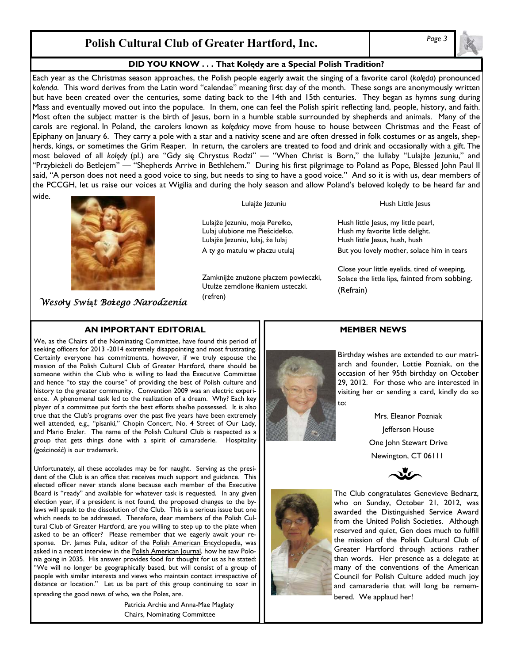# *Page 3* **Polish Cultural Club of Greater Hartford, Inc.**

## **DID YOU KNOW . . . That Kolędy are a Special Polish Tradition?**

Each year as the Christmas season approaches, the Polish people eagerly await the singing of a favorite carol (*kolęda*) pronounced *kolenda*. This word derives from the Latin word "calendae" meaning first day of the month. These songs are anonymously written but have been created over the centuries, some dating back to the 14th and 15th centuries. They began as hymns sung during Mass and eventually moved out into the populace. In them, one can feel the Polish spirit reflecting land, people, history, and faith. Most often the subject matter is the birth of Jesus, born in a humble stable surrounded by shepherds and animals. Many of the carols are regional. In Poland, the carolers known as *kolędnicy* move from house to house between Christmas and the Feast of Epiphany on January 6. They carry a pole with a star and a nativity scene and are often dressed in folk costumes or as angels, shepherds, kings, or sometimes the Grim Reaper. In return, the carolers are treated to food and drink and occasionally with a gift. The most beloved of all *kolędy* (pl.) are "Gdy się Chrystus Rodzi" — "When Christ is Born," the lullaby "Lulajże Jezuniu," and "Przybieżeli do Betlejem" — "Shepherds Arrive in Bethlehem." During his first pilgrimage to Poland as Pope, Blessed John Paul II said, "A person does not need a good voice to sing, but needs to sing to have a good voice." And so it is with us, dear members of the PCCGH, let us raise our voices at Wigilia and during the holy season and allow Poland's beloved kolędy to be heard far and

wide.



*Weso***ł***y Swi***ą***t Bo***ż***ego Narodzenia* 

# **AN IMPORTANT EDITORIAL**

We, as the Chairs of the Nominating Committee, have found this period of seeking officers for 2013 -2014 extremely disappointing and most frustrating. Certainly everyone has commitments, however, if we truly espouse the mission of the Polish Cultural Club of Greater Hartford, there should be someone within the Club who is willing to lead the Executive Committee and hence "to stay the course" of providing the best of Polish culture and history to the greater community. Convention 2009 was an electric experience. A phenomenal task led to the realization of a dream. Why? Each key player of a committee put forth the best efforts she/he possessed. It is also true that the Club's programs over the past five years have been extremely well attended, e.g., "pisanki," Chopin Concert, No. 4 Street of Our Lady, and Mario Enzler. The name of the Polish Cultural Club is respected as a group that gets things done with a spirit of camaraderie. Hospitality (gościność) is our trademark.

Unfortunately, all these accolades may be for naught. Serving as the president of the Club is an office that receives much support and guidance. This elected officer never stands alone because each member of the Executive Board is "ready" and available for whatever task is requested. In any given election year, if a president is not found, the proposed changes to the bylaws will speak to the dissolution of the Club. This is a serious issue but one which needs to be addressed. Therefore, dear members of the Polish Cultural Club of Greater Hartford, are you willing to step up to the plate when asked to be an officer? Please remember that we eagerly await your response. Dr. James Pula, editor of the Polish American Encyclopedia, was asked in a recent interview in the Polish American Journal, how he saw Polonia going in 2035. His answer provides food for thought for us as he stated: "We will no longer be geographically based, but will consist of a group of people with similar interests and views who maintain contact irrespective of distance or location." Let us be part of this group continuing to soar in spreading the good news of who, we the Poles, are.

> Patricia Archie and Anna-Mae Maglaty Chairs, Nominating Committee

Lulajże Jezuniu

Lulajże Jezuniu, moja Perełko, Lulaj ulubione me Pieścidełko. Lulajże Jezuniu, lulaj, że lulaj A ty go matulu w płaczu utulaj

Zamknijże znużone płaczem powieczki, Utulże zemdlone łkaniem usteczki. (refren)

Hush Little Jesus

Hush little Jesus, my little pearl, Hush my favorite little delight. Hush little Jesus, hush, hush But you lovely mother, solace him in tears

Close your little eyelids, tired of weeping, Solace the little lips, fainted from sobbing. (Refrain)

### **MEMBER NEWS**

Birthday wishes are extended to our matriarch and founder, Lottie Pozniak, on the occasion of her 95th birthday on October 29, 2012. For those who are interested in visiting her or sending a card, kindly do so to:

> Mrs. Eleanor Pozniak Jefferson House One John Stewart Drive Newington, CT 06111





The Club congratulates Genevieve Bednarz, who on Sunday, October 21, 2012, was awarded the Distinguished Service Award from the United Polish Societies. Although reserved and quiet, Gen does much to fulfill the mission of the Polish Cultural Club of Greater Hartford through actions rather than words. Her presence as a delegate at many of the conventions of the American Council for Polish Culture added much joy and camaraderie that will long be remembered. We applaud her!